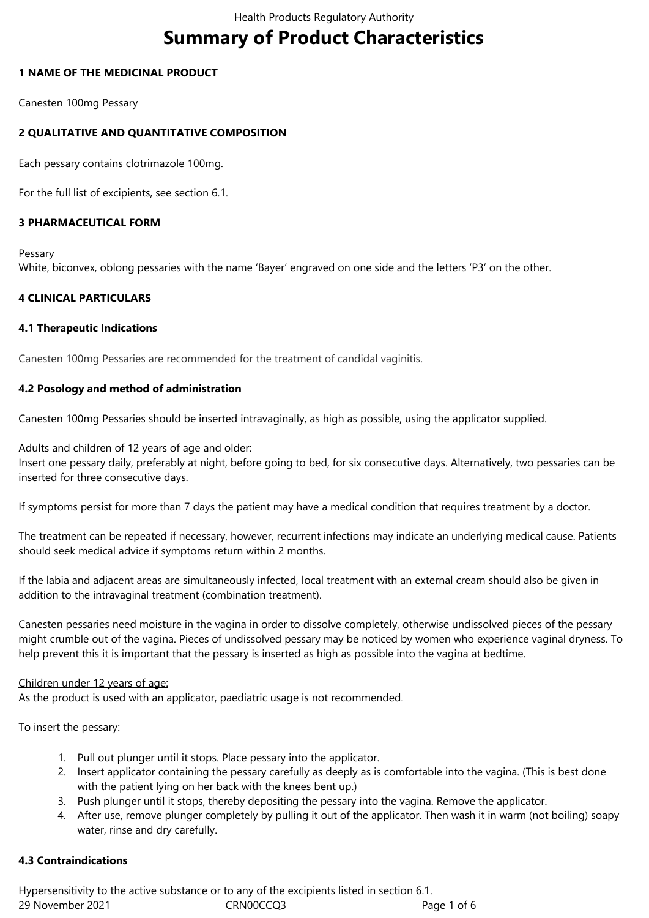# **Summary of Product Characteristics**

#### **1 NAME OF THE MEDICINAL PRODUCT**

Canesten 100mg Pessary

## **2 QUALITATIVE AND QUANTITATIVE COMPOSITION**

Each pessary contains clotrimazole 100mg.

For the full list of excipients, see section 6.1.

## **3 PHARMACEUTICAL FORM**

Pessary White, biconvex, oblong pessaries with the name 'Bayer' engraved on one side and the letters 'P3' on the other.

#### **4 CLINICAL PARTICULARS**

#### **4.1 Therapeutic Indications**

Canesten 100mg Pessaries are recommended for the treatment of candidal vaginitis.

#### **4.2 Posology and method of administration**

Canesten 100mg Pessaries should be inserted intravaginally, as high as possible, using the applicator supplied.

Adults and children of 12 years of age and older:

Insert one pessary daily, preferably at night, before going to bed, for six consecutive days. Alternatively, two pessaries can be inserted for three consecutive days.

If symptoms persist for more than 7 days the patient may have a medical condition that requires treatment by a doctor.

The treatment can be repeated if necessary, however, recurrent infections may indicate an underlying medical cause. Patients should seek medical advice if symptoms return within 2 months.

If the labia and adjacent areas are simultaneously infected, local treatment with an external cream should also be given in addition to the intravaginal treatment (combination treatment).

Canesten pessaries need moisture in the vagina in order to dissolve completely, otherwise undissolved pieces of the pessary might crumble out of the vagina. Pieces of undissolved pessary may be noticed by women who experience vaginal dryness. To help prevent this it is important that the pessary is inserted as high as possible into the vagina at bedtime.

#### Children under 12 years of age:

As the product is used with an applicator, paediatric usage is not recommended.

To insert the pessary:

- 1. Pull out plunger until it stops. Place pessary into the applicator.
- 2. Insert applicator containing the pessary carefully as deeply as is comfortable into the vagina. (This is best done with the patient lying on her back with the knees bent up.)
- 3. Push plunger until it stops, thereby depositing the pessary into the vagina. Remove the applicator.
- 4. After use, remove plunger completely by pulling it out of the applicator. Then wash it in warm (not boiling) soapy water, rinse and dry carefully.

#### **4.3 Contraindications**

29 November 2021 CRN00CCQ3 Page 1 of 6 Hypersensitivity to the active substance or to any of the excipients listed in section 6.1.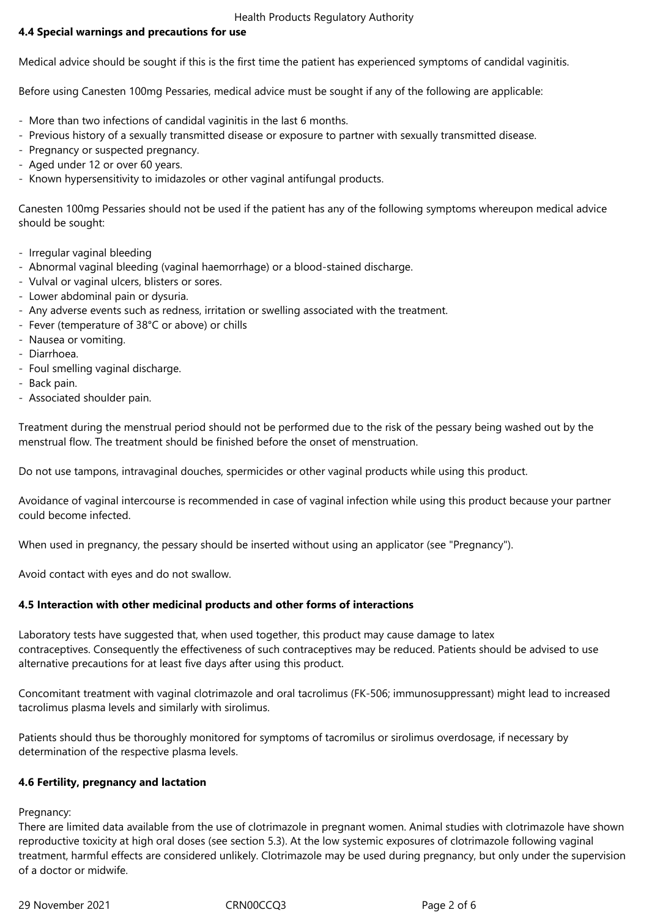#### Health Products Regulatory Authority

## **4.4 Special warnings and precautions for use**

Medical advice should be sought if this is the first time the patient has experienced symptoms of candidal vaginitis.

Before using Canesten 100mg Pessaries, medical advice must be sought if any of the following are applicable:

- More than two infections of candidal vaginitis in the last 6 months.
- Previous history of a sexually transmitted disease or exposure to partner with sexually transmitted disease.
- Pregnancy or suspected pregnancy.
- Aged under 12 or over 60 years.
- Known hypersensitivity to imidazoles or other vaginal antifungal products.

Canesten 100mg Pessaries should not be used if the patient has any of the following symptoms whereupon medical advice should be sought:

- Irregular vaginal bleeding
- Abnormal vaginal bleeding (vaginal haemorrhage) or a blood-stained discharge.
- Vulval or vaginal ulcers, blisters or sores.
- Lower abdominal pain or dysuria.
- Any adverse events such as redness, irritation or swelling associated with the treatment.
- Fever (temperature of 38°C or above) or chills
- Nausea or vomiting.
- Diarrhoea.
- Foul smelling vaginal discharge.
- Back pain.
- Associated shoulder pain.

Treatment during the menstrual period should not be performed due to the risk of the pessary being washed out by the menstrual flow. The treatment should be finished before the onset of menstruation.

Do not use tampons, intravaginal douches, spermicides or other vaginal products while using this product.

Avoidance of vaginal intercourse is recommended in case of vaginal infection while using this product because your partner could become infected.

When used in pregnancy, the pessary should be inserted without using an applicator (see "Pregnancy").

Avoid contact with eyes and do not swallow.

#### **4.5 Interaction with other medicinal products and other forms of interactions**

Laboratory tests have suggested that, when used together, this product may cause damage to latex contraceptives. Consequently the effectiveness of such contraceptives may be reduced. Patients should be advised to use alternative precautions for at least five days after using this product.

Concomitant treatment with vaginal clotrimazole and oral tacrolimus (FK-506; immunosuppressant) might lead to increased tacrolimus plasma levels and similarly with sirolimus.

Patients should thus be thoroughly monitored for symptoms of tacromilus or sirolimus overdosage, if necessary by determination of the respective plasma levels.

#### **4.6 Fertility, pregnancy and lactation**

Pregnancy:

There are limited data available from the use of clotrimazole in pregnant women. Animal studies with clotrimazole have shown reproductive toxicity at high oral doses (see section 5.3). At the low systemic exposures of clotrimazole following vaginal treatment, harmful effects are considered unlikely. Clotrimazole may be used during pregnancy, but only under the supervision of a doctor or midwife.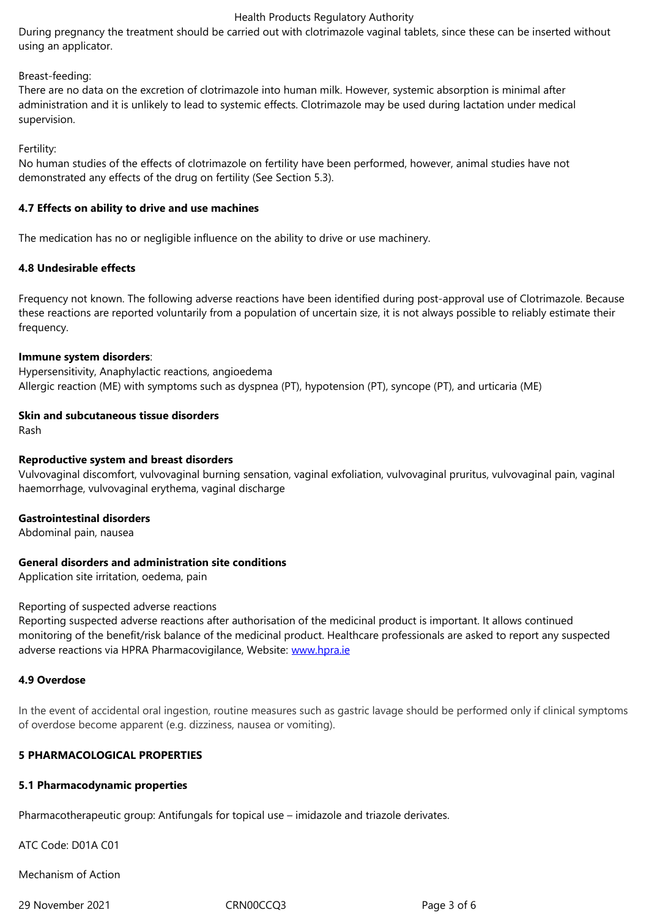#### Breast-feeding:

There are no data on the excretion of clotrimazole into human milk. However, systemic absorption is minimal after administration and it is unlikely to lead to systemic effects. Clotrimazole may be used during lactation under medical supervision.

Fertility:

No human studies of the effects of clotrimazole on fertility have been performed, however, animal studies have not demonstrated any effects of the drug on fertility (See Section 5.3).

#### **4.7 Effects on ability to drive and use machines**

The medication has no or negligible influence on the ability to drive or use machinery.

#### **4.8 Undesirable effects**

Frequency not known. The following adverse reactions have been identified during post-approval use of Clotrimazole. Because these reactions are reported voluntarily from a population of uncertain size, it is not always possible to reliably estimate their frequency.

#### **Immune system disorders**:

Hypersensitivity, Anaphylactic reactions, angioedema Allergic reaction (ME) with symptoms such as dyspnea (PT), hypotension (PT), syncope (PT), and urticaria (ME)

#### **Skin and subcutaneous tissue disorders**

Rash

#### **Reproductive system and breast disorders**

Vulvovaginal discomfort, vulvovaginal burning sensation, vaginal exfoliation, vulvovaginal pruritus, vulvovaginal pain, vaginal haemorrhage, vulvovaginal erythema, vaginal discharge

#### **Gastrointestinal disorders**

Abdominal pain, nausea

#### **General disorders and administration site conditions**

Application site irritation, oedema, pain

#### Reporting of suspected adverse reactions

Reporting suspected adverse reactions after authorisation of the medicinal product is important. It allows continued monitoring of the benefit/risk balance of the medicinal product. Healthcare professionals are asked to report any suspected adverse reactions via HPRA Pharmacovigilance, Website: www.hpra.ie

#### **4.9 Overdose**

In the event of accidental oral ingestion, routine measure[s such as gas](http://www.hpra.ie/)tric lavage should be performed only if clinical symptoms of overdose become apparent (e.g. dizziness, nausea or vomiting).

## **5 PHARMACOLOGICAL PROPERTIES**

#### **5.1 Pharmacodynamic properties**

Pharmacotherapeutic group: Antifungals for topical use – imidazole and triazole derivates.

ATC Code: D01A C01

Mechanism of Action

29 November 2021 CRN00CCQ3 Page 3 of 6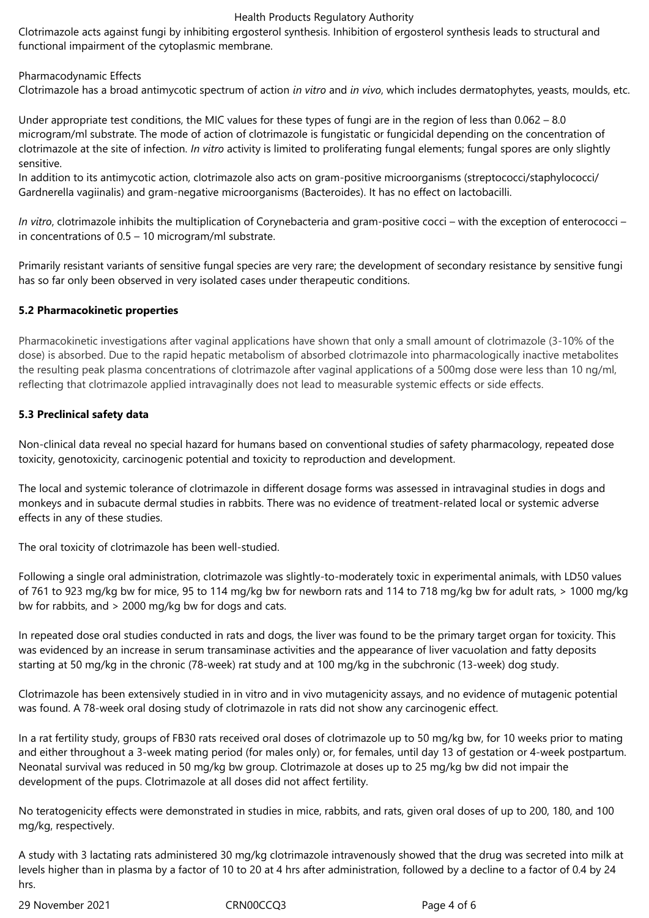#### Health Products Regulatory Authority

Clotrimazole acts against fungi by inhibiting ergosterol synthesis. Inhibition of ergosterol synthesis leads to structural and functional impairment of the cytoplasmic membrane.

#### Pharmacodynamic Effects

Clotrimazole has a broad antimycotic spectrum of action *in vitro* and *in vivo*, which includes dermatophytes, yeasts, moulds, etc.

Under appropriate test conditions, the MIC values for these types of fungi are in the region of less than 0.062 – 8.0 microgram/ml substrate. The mode of action of clotrimazole is fungistatic or fungicidal depending on the concentration of clotrimazole at the site of infection. *In vitro* activity is limited to proliferating fungal elements; fungal spores are only slightly sensitive.

In addition to its antimycotic action, clotrimazole also acts on gram-positive microorganisms (streptococci/staphylococci/ Gardnerella vagiinalis) and gram-negative microorganisms (Bacteroides). It has no effect on lactobacilli.

*In vitro*, clotrimazole inhibits the multiplication of Corynebacteria and gram-positive cocci – with the exception of enterococci – in concentrations of 0.5 – 10 microgram/ml substrate.

Primarily resistant variants of sensitive fungal species are very rare; the development of secondary resistance by sensitive fungi has so far only been observed in very isolated cases under therapeutic conditions.

#### **5.2 Pharmacokinetic properties**

Pharmacokinetic investigations after vaginal applications have shown that only a small amount of clotrimazole (3-10% of the dose) is absorbed. Due to the rapid hepatic metabolism of absorbed clotrimazole into pharmacologically inactive metabolites the resulting peak plasma concentrations of clotrimazole after vaginal applications of a 500mg dose were less than 10 ng/ml, reflecting that clotrimazole applied intravaginally does not lead to measurable systemic effects or side effects.

#### **5.3 Preclinical safety data**

Non-clinical data reveal no special hazard for humans based on conventional studies of safety pharmacology, repeated dose toxicity, genotoxicity, carcinogenic potential and toxicity to reproduction and development.

The local and systemic tolerance of clotrimazole in different dosage forms was assessed in intravaginal studies in dogs and monkeys and in subacute dermal studies in rabbits. There was no evidence of treatment-related local or systemic adverse effects in any of these studies.

The oral toxicity of clotrimazole has been well-studied.

Following a single oral administration, clotrimazole was slightly-to-moderately toxic in experimental animals, with LD50 values of 761 to 923 mg/kg bw for mice, 95 to 114 mg/kg bw for newborn rats and 114 to 718 mg/kg bw for adult rats, > 1000 mg/kg bw for rabbits, and > 2000 mg/kg bw for dogs and cats.

In repeated dose oral studies conducted in rats and dogs, the liver was found to be the primary target organ for toxicity. This was evidenced by an increase in serum transaminase activities and the appearance of liver vacuolation and fatty deposits starting at 50 mg/kg in the chronic (78-week) rat study and at 100 mg/kg in the subchronic (13-week) dog study.

Clotrimazole has been extensively studied in in vitro and in vivo mutagenicity assays, and no evidence of mutagenic potential was found. A 78-week oral dosing study of clotrimazole in rats did not show any carcinogenic effect.

In a rat fertility study, groups of FB30 rats received oral doses of clotrimazole up to 50 mg/kg bw, for 10 weeks prior to mating and either throughout a 3-week mating period (for males only) or, for females, until day 13 of gestation or 4-week postpartum. Neonatal survival was reduced in 50 mg/kg bw group. Clotrimazole at doses up to 25 mg/kg bw did not impair the development of the pups. Clotrimazole at all doses did not affect fertility.

No teratogenicity effects were demonstrated in studies in mice, rabbits, and rats, given oral doses of up to 200, 180, and 100 mg/kg, respectively.

A study with 3 lactating rats administered 30 mg/kg clotrimazole intravenously showed that the drug was secreted into milk at levels higher than in plasma by a factor of 10 to 20 at 4 hrs after administration, followed by a decline to a factor of 0.4 by 24 hrs.

29 November 2021 CRN00CCQ3 Page 4 of 6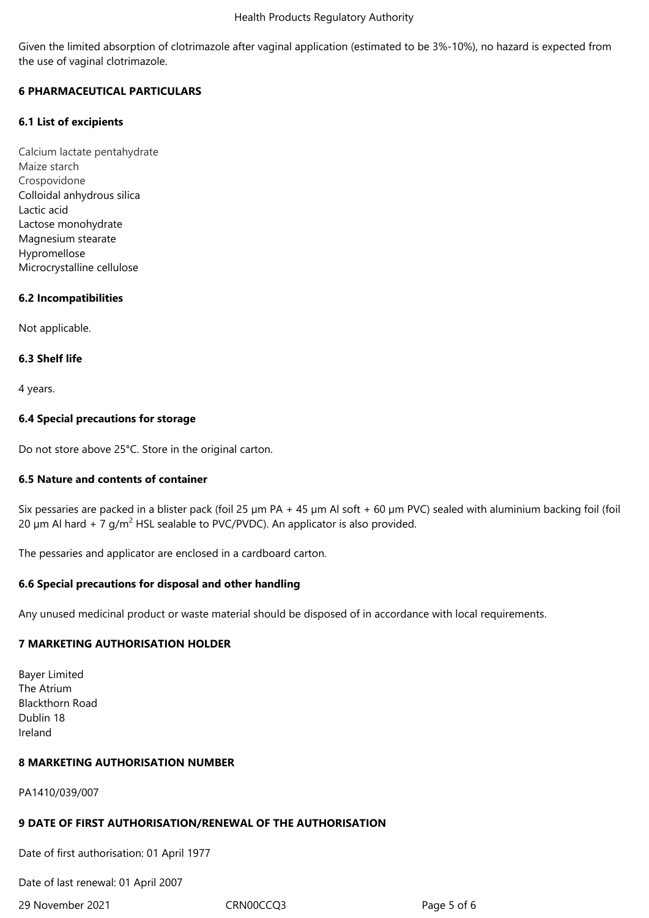Given the limited absorption of clotrimazole after vaginal application (estimated to be 3%-10%), no hazard is expected from the use of vaginal clotrimazole.

## **6 PHARMACEUTICAL PARTICULARS**

## **6.1 List of excipients**

Calcium lactate pentahydrate Maize starch Crospovidone Colloidal anhydrous silica Lactic acid Lactose monohydrate Magnesium stearate Hypromellose Microcrystalline cellulose

## **6.2 Incompatibilities**

Not applicable.

## **6.3 Shelf life**

4 years.

## **6.4 Special precautions for storage**

Do not store above 25°C. Store in the original carton.

## **6.5 Nature and contents of container**

Six pessaries are packed in a blister pack (foil 25  $\mu$ m PA + 45  $\mu$ m Al soft + 60  $\mu$ m PVC) sealed with aluminium backing foil (foil 20  $\mu$ m Al hard + 7 g/m<sup>2</sup> HSL sealable to PVC/PVDC). An applicator is also provided.

The pessaries and applicator are enclosed in a cardboard carton.

## **6.6 Special precautions for disposal and other handling**

Any unused medicinal product or waste material should be disposed of in accordance with local requirements.

## **7 MARKETING AUTHORISATION HOLDER**

Bayer Limited The Atrium Blackthorn Road Dublin 18 Ireland

## **8 MARKETING AUTHORISATION NUMBER**

PA1410/039/007

## **9 DATE OF FIRST AUTHORISATION/RENEWAL OF THE AUTHORISATION**

Date of first authorisation: 01 April 1977

Date of last renewal: 01 April 2007

29 November 2021 CRN00CCQ3 Page 5 of 6